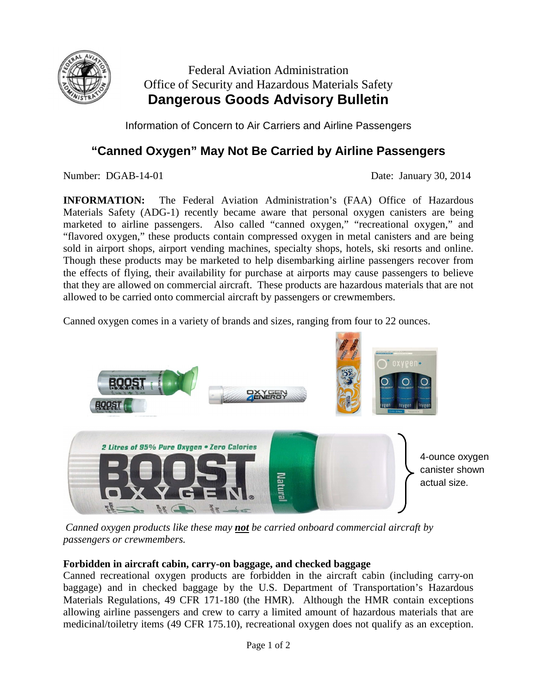

# Federal Aviation Administration Office of Security and Hazardous Materials Safety **Dangerous Goods Advisory Bulletin**

Information of Concern to Air Carriers and Airline Passengers

# **"Canned Oxygen" May Not Be Carried by Airline Passengers**

Number: DGAB-14-01 Date: January 30, 2014

**INFORMATION:** The Federal Aviation Administration's (FAA) Office of Hazardous Materials Safety (ADG-1) recently became aware that personal oxygen canisters are being marketed to airline passengers. Also called "canned oxygen," "recreational oxygen," and "flavored oxygen," these products contain compressed oxygen in metal canisters and are being sold in airport shops, airport vending machines, specialty shops, hotels, ski resorts and online. Though these products may be marketed to help disembarking airline passengers recover from the effects of flying, their availability for purchase at airports may cause passengers to believe that they are allowed on commercial aircraft. These products are hazardous materials that are not allowed to be carried onto commercial aircraft by passengers or crewmembers.

Canned oxygen comes in a variety of brands and sizes, ranging from four to 22 ounces.



*Canned oxygen products like these may not be carried onboard commercial aircraft by passengers or crewmembers.*

## **Forbidden in aircraft cabin, carry-on baggage, and checked baggage**

Canned recreational oxygen products are forbidden in the aircraft cabin (including carry-on baggage) and in checked baggage by the U.S. Department of Transportation's Hazardous Materials Regulations, 49 CFR 171-180 (the HMR). Although the HMR contain exceptions allowing airline passengers and crew to carry a limited amount of hazardous materials that are medicinal/toiletry items (49 CFR 175.10), recreational oxygen does not qualify as an exception.